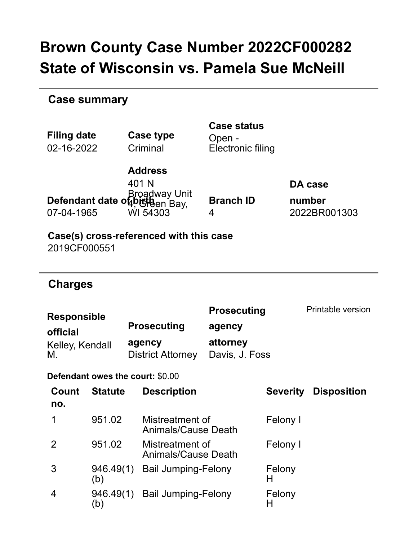# **Brown County Case Number 2022CF000282 State of Wisconsin vs. Pamela Sue McNeill**

### **Case summary**

| <b>Filing date</b><br>02-16-2022                              |                                                         | Case type<br>Criminal                             | <b>Case status</b><br>Open -<br>Electronic filing          |                 |                                   |  |  |
|---------------------------------------------------------------|---------------------------------------------------------|---------------------------------------------------|------------------------------------------------------------|-----------------|-----------------------------------|--|--|
| Broadway Unit<br>Defendant date of bigtaen Bay,<br>07-04-1965 |                                                         | <b>Address</b><br>401 N<br>WI 54303               | <b>Branch ID</b><br>4                                      |                 | DA case<br>number<br>2022BR001303 |  |  |
|                                                               | Case(s) cross-referenced with this case<br>2019CF000551 |                                                   |                                                            |                 |                                   |  |  |
| <b>Charges</b>                                                |                                                         |                                                   |                                                            |                 |                                   |  |  |
| <b>Responsible</b><br>official<br>Kelley, Kendall<br>М.       |                                                         | <b>Prosecuting</b><br>agency<br>District Attorney | <b>Prosecuting</b><br>agency<br>attorney<br>Davis, J. Foss |                 | <b>Printable version</b>          |  |  |
|                                                               |                                                         | Defendant owes the court: \$0.00                  |                                                            |                 |                                   |  |  |
| Count<br>no.                                                  | <b>Statute</b>                                          | <b>Description</b>                                |                                                            | <b>Severity</b> | <b>Disposition</b>                |  |  |
| 1                                                             | 951.02                                                  | Mistreatment of<br><b>Animals/Cause Death</b>     |                                                            | Felony I        |                                   |  |  |
| 2                                                             | 951.02                                                  | Mistreatment of<br><b>Animals/Cause Death</b>     |                                                            | Felony I        |                                   |  |  |
| 3                                                             | 946.49(1)<br>(b)                                        | <b>Bail Jumping-Felony</b>                        |                                                            | Felony<br>н     |                                   |  |  |
| 4                                                             | 946.49(1)<br>(b)                                        | <b>Bail Jumping-Felony</b>                        |                                                            | Felony<br>H     |                                   |  |  |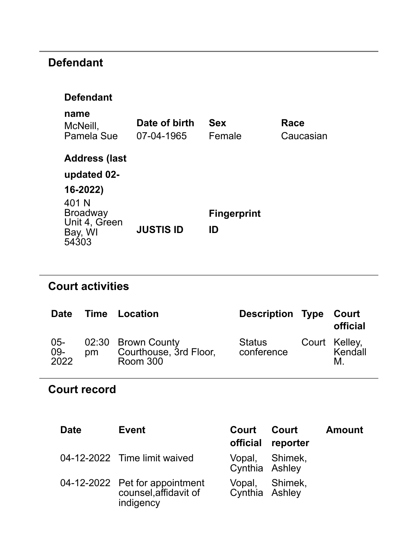# **Defendant**

#### **Defendant**

| name<br>McNeill,<br><b>Pamela Sue</b>                         | Date of birth<br>07-04-1965 | <b>Sex</b><br>Female     | Race<br>Caucasian |
|---------------------------------------------------------------|-----------------------------|--------------------------|-------------------|
| <b>Address (last</b><br>updated 02-<br>$16 - 2022$            |                             |                          |                   |
| 401 N<br><b>Broadway</b><br>Unit 4, Green<br>Bay, WI<br>54303 | <b>JUSTIS ID</b>            | <b>Fingerprint</b><br>ID |                   |

# **Court activities**

| <b>Date</b>           |    | <b>Time Location</b>                                            | <b>Description Type Court</b> | official                       |
|-----------------------|----|-----------------------------------------------------------------|-------------------------------|--------------------------------|
| $05 -$<br>09-<br>2022 | pm | 02:30 Brown County<br>Courthouse, 3rd Floor,<br><b>Room 300</b> | Status<br>conference          | Court Kelley,<br>Kendall<br>M. |

## **Court record**

| <b>Date</b> | <b>Event</b>                                                         | Court                            | Court<br>official reporter | <b>Amount</b> |
|-------------|----------------------------------------------------------------------|----------------------------------|----------------------------|---------------|
|             | 04-12-2022 Time limit waived                                         | Vopal, Shimek,<br>Cynthia Ashley |                            |               |
|             | 04-12-2022 Pet for appointment<br>counsel, affidavit of<br>indigency | Vopal, Shimek,<br>Cynthia Ashley |                            |               |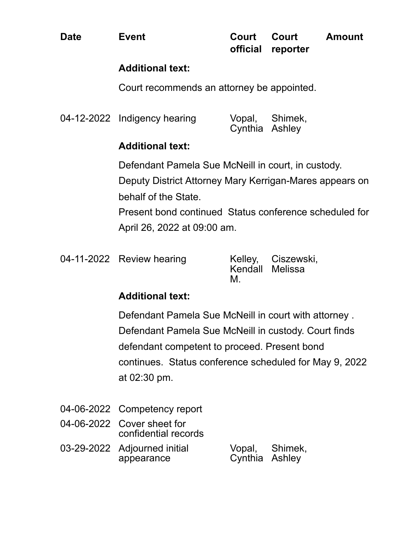Court recommends an attorney be appointed.

| 04-12-2022 Indigency hearing |                | Vopal, Shimek, |
|------------------------------|----------------|----------------|
|                              | Cynthia Ashley |                |

#### **Additional text:**

Defendant Pamela Sue McNeill in court, in custody. Deputy District Attorney Mary Kerrigan-Mares appears on behalf of the State.

Present bond continued Status conference scheduled for April 26, 2022 at 09:00 am.

|  | 04-11-2022 Review hearing |
|--|---------------------------|
|--|---------------------------|

Kelley, Kendall Melissa M. Ciszewski,

### **Additional text:**

Defendant Pamela Sue McNeill in court with attorney . Defendant Pamela Sue McNeill in custody. Court finds defendant competent to proceed. Present bond continues. Status conference scheduled for May 9, 2022 at 02:30 pm.

- 04-06-2022 Competency report
- 04-06-2022 Cover sheet for confidential records
- 03-29-2022 Adjourned initial appearance Vopal, Cynthia Ashley Shimek,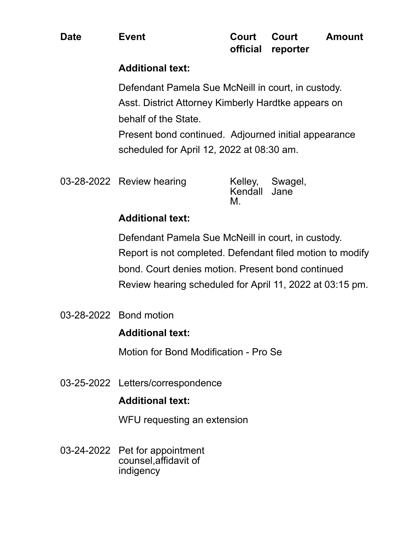Defendant Pamela Sue McNeill in court, in custody. Asst. District Attorney Kimberly Hardtke appears on behalf of the State.

Present bond continued. Adjourned initial appearance scheduled for April 12, 2022 at 08:30 am.

| 03-28-2022 Review hearing | Kendall Jane<br>M. | Kelley, Swagel, |
|---------------------------|--------------------|-----------------|
|                           |                    |                 |

#### **Additional text:**

Defendant Pamela Sue McNeill in court, in custody. Report is not completed. Defendant filed motion to modify bond. Court denies motion. Present bond continued Review hearing scheduled for April 11, 2022 at 03:15 pm.

03-28-2022 Bond motion

#### **Additional text:**

Motion for Bond Modification - Pro Se

03-25-2022 Letters/correspondence

### **Additional text:**

WFU requesting an extension

03-24-2022 Pet for appointment counsel,affidavit of indigency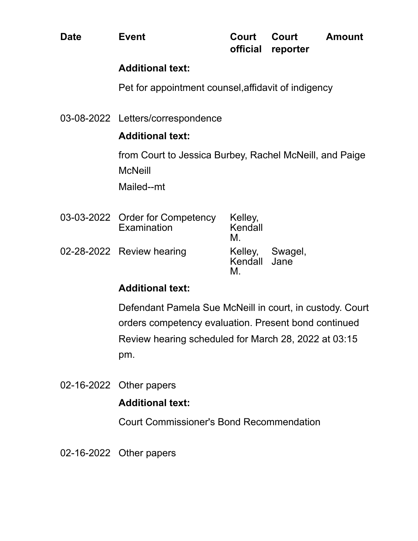Pet for appointment counsel,affidavit of indigency

03-08-2022 Letters/correspondence

#### **Additional text:**

from Court to Jessica Burbey, Rachel McNeill, and Paige **McNeill** 

Mailed--mt

| 03-03-2022 Order for Competency<br>Examination | Kelley,<br>Kendall<br>M |                 |
|------------------------------------------------|-------------------------|-----------------|
| 02-28-2022 Review hearing                      | Kendall Jane<br>м       | Kelley, Swagel, |

#### **Additional text:**

Defendant Pamela Sue McNeill in court, in custody. Court orders competency evaluation. Present bond continued Review hearing scheduled for March 28, 2022 at 03:15 pm.

02-16-2022 Other papers

#### **Additional text:**

Court Commissioner's Bond Recommendation

02-16-2022 Other papers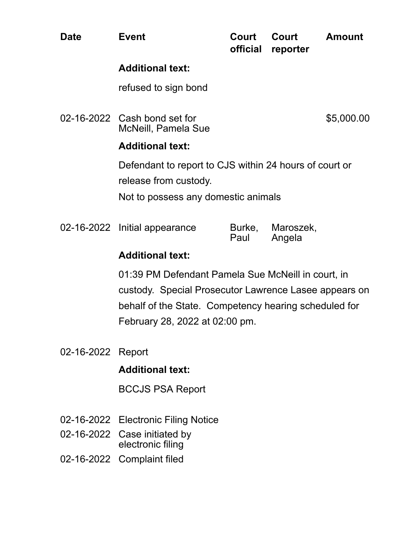| <b>Date</b>       | <b>Event</b>                                                                                                                                                                                           | Court<br>official | Court<br>reporter   | <b>Amount</b> |
|-------------------|--------------------------------------------------------------------------------------------------------------------------------------------------------------------------------------------------------|-------------------|---------------------|---------------|
|                   | <b>Additional text:</b>                                                                                                                                                                                |                   |                     |               |
|                   | refused to sign bond                                                                                                                                                                                   |                   |                     |               |
|                   | 02-16-2022 Cash bond set for<br><b>McNeill, Pamela Sue</b>                                                                                                                                             |                   |                     | \$5,000.00    |
|                   | <b>Additional text:</b>                                                                                                                                                                                |                   |                     |               |
|                   | Defendant to report to CJS within 24 hours of court or<br>release from custody.                                                                                                                        |                   |                     |               |
|                   | Not to possess any domestic animals                                                                                                                                                                    |                   |                     |               |
|                   | 02-16-2022 Initial appearance                                                                                                                                                                          | Burke,<br>Paul    | Maroszek,<br>Angela |               |
|                   | <b>Additional text:</b>                                                                                                                                                                                |                   |                     |               |
|                   | 01:39 PM Defendant Pamela Sue McNeill in court, in<br>custody. Special Prosecutor Lawrence Lasee appears on<br>behalf of the State. Competency hearing scheduled for<br>February 28, 2022 at 02:00 pm. |                   |                     |               |
| 02-16-2022 Report | .                                                                                                                                                                                                      |                   |                     |               |

BCCJS PSA Report

- 02-16-2022 Electronic Filing Notice
- 02-16-2022 Case initiated by electronic filing
- 02-16-2022 Complaint filed